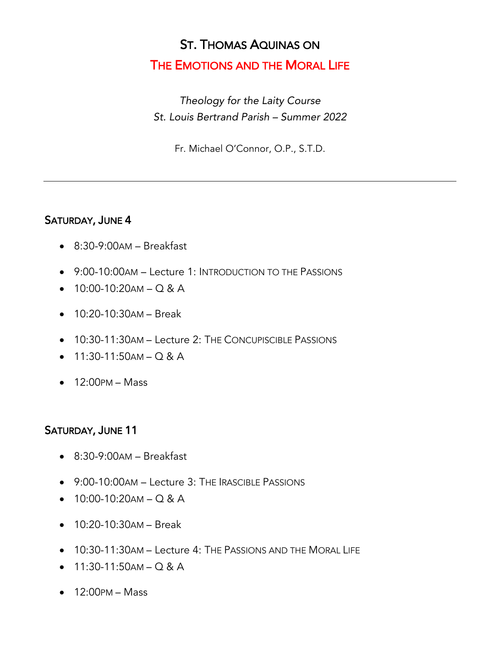## ST. THOMAS AQUINAS ON

### THE EMOTIONS AND THE MORAL LIFE

*Theology for the Laity Course St. Louis Bertrand Parish – Summer 2022*

Fr. Michael O'Connor, O.P., S.T.D.

#### SATURDAY, JUNE 4

- 8:30-9:00AM Breakfast
- 9:00-10:00AM Lecture 1: INTRODUCTION TO THE PASSIONS
- $\bullet$  10:00-10:20 AM Q & A
- 10:20-10:30AM Break
- 10:30-11:30AM Lecture 2: THE CONCUPISCIBLE PASSIONS
- $11:30-11:50AM Q & A$
- $\bullet$  12:00 PM Mass

#### SATURDAY, JUNE 11

- 8:30-9:00AM Breakfast
- 9:00-10:00AM Lecture 3: THE IRASCIBLE PASSIONS
- $10:00-10:20AM Q & A$
- 10:20-10:30AM Break
- 10:30-11:30AM Lecture 4: THE PASSIONS AND THE MORAL LIFE
- $11:30-11:50AM Q & A$
- $\bullet$  12:00PM Mass